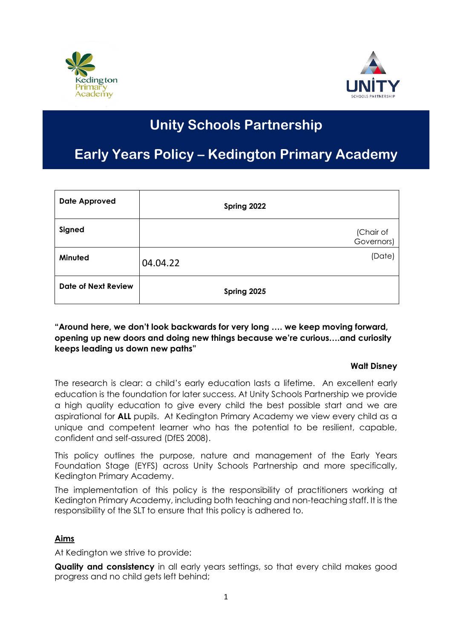



# **Unity Schools Partnership**

## **Early Years Policy – Kedington Primary Academy**

| <b>Date Approved</b>       | Spring 2022             |
|----------------------------|-------------------------|
| Signed                     | (Chair of<br>Governors) |
| Minuted                    | (Date)<br>04.04.22      |
| <b>Date of Next Review</b> | Spring 2025             |

## **"Around here, we don't look backwards for very long …. we keep moving forward, opening up new doors and doing new things because we're curious….and curiosity keeps leading us down new paths"**

## **Walt Disney**

The research is clear: a child's early education lasts a lifetime. An excellent early education is the foundation for later success. At Unity Schools Partnership we provide a high quality education to give every child the best possible start and we are aspirational for **ALL** pupils. At Kedington Primary Academy we view every child as a unique and competent learner who has the potential to be resilient, capable, confident and self-assured (DfES 2008).

This policy outlines the purpose, nature and management of the Early Years Foundation Stage (EYFS) across Unity Schools Partnership and more specifically, Kedington Primary Academy.

The implementation of this policy is the responsibility of practitioners working at Kedington Primary Academy, including both teaching and non-teaching staff. It is the responsibility of the SLT to ensure that this policy is adhered to.

## **Aims**

At Kedington we strive to provide:

**Quality and consistency** in all early years settings, so that every child makes good progress and no child gets left behind;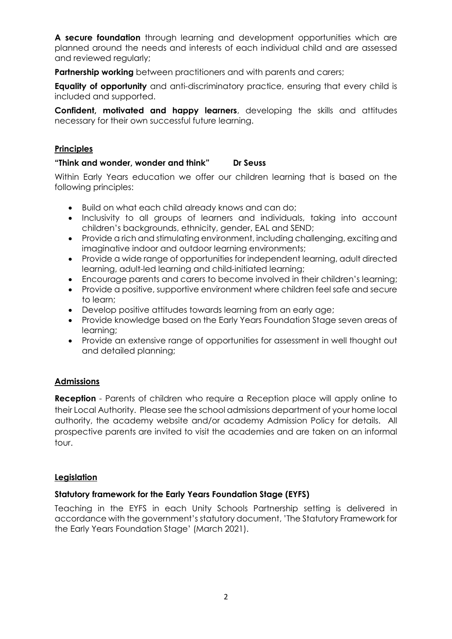**A secure foundation** through learning and development opportunities which are planned around the needs and interests of each individual child and are assessed and reviewed regularly;

**Partnership working** between practitioners and with parents and carers;

**Equality of opportunity** and anti-discriminatory practice, ensuring that every child is included and supported.

**Confident, motivated and happy learners**, developing the skills and attitudes necessary for their own successful future learning.

## **Principles**

#### **"Think and wonder, wonder and think" Dr Seuss**

Within Early Years education we offer our children learning that is based on the following principles:

- Build on what each child already knows and can do;
- Inclusivity to all groups of learners and individuals, taking into account children's backgrounds, ethnicity, gender, EAL and SEND;
- Provide a rich and stimulating environment, including challenging, exciting and imaginative indoor and outdoor learning environments;
- Provide a wide range of opportunities for independent learning, adult directed learning, adult-led learning and child-initiated learning;
- Encourage parents and carers to become involved in their children's learning;
- Provide a positive, supportive environment where children feel safe and secure to learn;
- Develop positive attitudes towards learning from an early age;
- Provide knowledge based on the Early Years Foundation Stage seven areas of learning;
- Provide an extensive range of opportunities for assessment in well thought out and detailed planning;

## **Admissions**

**Reception** - Parents of children who require a Reception place will apply online to their Local Authority. Please see the school admissions department of your home local authority, the academy website and/or academy Admission Policy for details. All prospective parents are invited to visit the academies and are taken on an informal tour.

#### **Legislation**

## **Statutory framework for the Early Years Foundation Stage (EYFS)**

Teaching in the EYFS in each Unity Schools Partnership setting is delivered in accordance with the government's statutory document, 'The Statutory Framework for the Early Years Foundation Stage' (March 2021).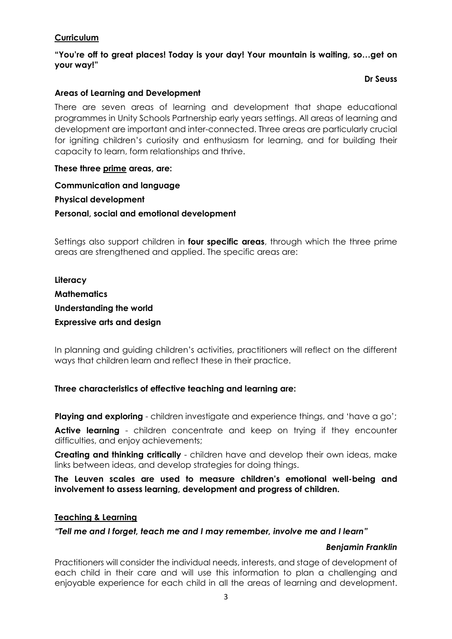## **Curriculum**

**"You're off to great places! Today is your day! Your mountain is waiting, so…get on your way!"**

#### **Dr Seuss**

## **Areas of Learning and Development**

There are seven areas of learning and development that shape educational programmes in Unity Schools Partnership early years settings. All areas of learning and development are important and inter-connected. Three areas are particularly crucial for igniting children's curiosity and enthusiasm for learning, and for building their capacity to learn, form relationships and thrive.

#### **These three prime areas, are:**

**Communication and language Physical development Personal, social and emotional development** 

Settings also support children in **four specific areas**, through which the three prime areas are strengthened and applied. The specific areas are:

**Literacy Mathematics Understanding the world Expressive arts and design** 

In planning and guiding children's activities, practitioners will reflect on the different ways that children learn and reflect these in their practice.

## **Three characteristics of effective teaching and learning are:**

**Playing and exploring** - children investigate and experience things, and 'have a go';

**Active learning** - children concentrate and keep on trying if they encounter difficulties, and enjoy achievements;

**Creating and thinking critically** - children have and develop their own ideas, make links between ideas, and develop strategies for doing things.

**The Leuven scales are used to measure children's emotional well-being and involvement to assess learning, development and progress of children.**

#### **Teaching & Learning**

*"Tell me and I forget, teach me and I may remember, involve me and I learn"*

#### *Benjamin Franklin*

Practitioners will consider the individual needs, interests, and stage of development of each child in their care and will use this information to plan a challenging and enjoyable experience for each child in all the areas of learning and development.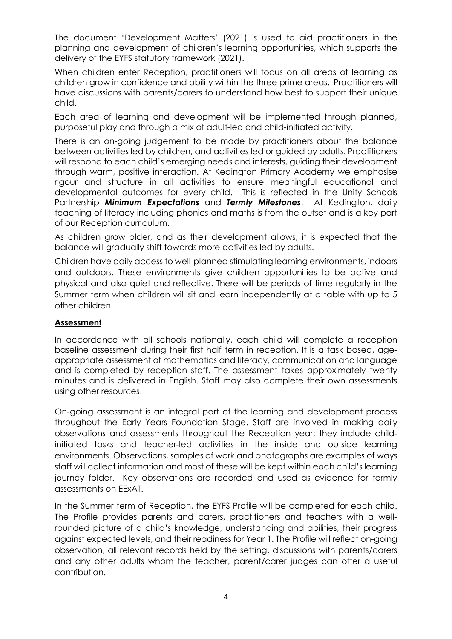The document 'Development Matters' (2021) is used to aid practitioners in the planning and development of children's learning opportunities, which supports the delivery of the EYFS statutory framework (2021).

When children enter Reception, practitioners will focus on all areas of learning as children grow in confidence and ability within the three prime areas. Practitioners will have discussions with parents/carers to understand how best to support their unique child.

Each area of learning and development will be implemented through planned, purposeful play and through a mix of adult-led and child-initiated activity.

There is an on-going judgement to be made by practitioners about the balance between activities led by children, and activities led or guided by adults. Practitioners will respond to each child's emerging needs and interests, guiding their development through warm, positive interaction. At Kedington Primary Academy we emphasise rigour and structure in all activities to ensure meaningful educational and developmental outcomes for every child. This is reflected in the Unity Schools Partnership *Minimum Expectations* and *Termly Milestones*. At Kedington, daily teaching of literacy including phonics and maths is from the outset and is a key part of our Reception curriculum.

As children grow older, and as their development allows, it is expected that the balance will gradually shift towards more activities led by adults.

Children have daily access to well-planned stimulating learning environments, indoors and outdoors. These environments give children opportunities to be active and physical and also quiet and reflective. There will be periods of time regularly in the Summer term when children will sit and learn independently at a table with up to 5 other children.

## **Assessment**

In accordance with all schools nationally, each child will complete a reception baseline assessment during their first half term in reception. It is a task based, ageappropriate assessment of mathematics and literacy, communication and language and is completed by reception staff. The assessment takes approximately twenty minutes and is delivered in English. Staff may also complete their own assessments using other resources.

On-going assessment is an integral part of the learning and development process throughout the Early Years Foundation Stage. Staff are involved in making daily observations and assessments throughout the Reception year; they include childinitiated tasks and teacher-led activities in the inside and outside learning environments. Observations, samples of work and photographs are examples of ways staff will collect information and most of these will be kept within each child's learning journey folder. Key observations are recorded and used as evidence for termly assessments on EExAT.

In the Summer term of Reception, the EYFS Profile will be completed for each child. The Profile provides parents and carers, practitioners and teachers with a wellrounded picture of a child's knowledge, understanding and abilities, their progress against expected levels, and their readiness for Year 1. The Profile will reflect on-going observation, all relevant records held by the setting, discussions with parents/carers and any other adults whom the teacher, parent/carer judges can offer a useful contribution.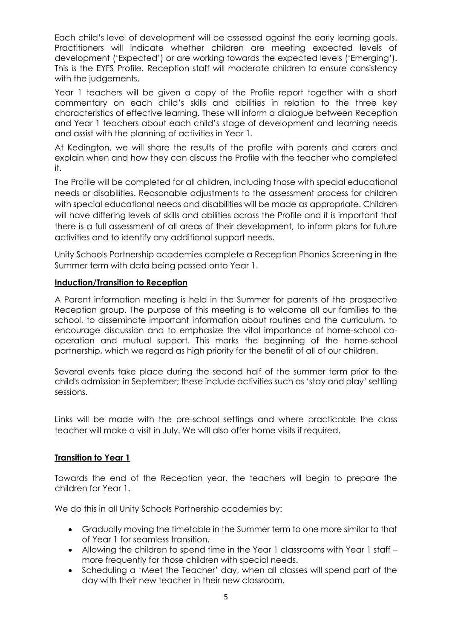Each child's level of development will be assessed against the early learning goals. Practitioners will indicate whether children are meeting expected levels of development ('Expected') or are working towards the expected levels ('Emerging'). This is the EYFS Profile. Reception staff will moderate children to ensure consistency with the judgements.

Year 1 teachers will be given a copy of the Profile report together with a short commentary on each child's skills and abilities in relation to the three key characteristics of effective learning. These will inform a dialogue between Reception and Year 1 teachers about each child's stage of development and learning needs and assist with the planning of activities in Year 1.

At Kedington, we will share the results of the profile with parents and carers and explain when and how they can discuss the Profile with the teacher who completed it.

The Profile will be completed for all children, including those with special educational needs or disabilities. Reasonable adjustments to the assessment process for children with special educational needs and disabilities will be made as appropriate. Children will have differing levels of skills and abilities across the Profile and it is important that there is a full assessment of all areas of their development, to inform plans for future activities and to identify any additional support needs.

Unity Schools Partnership academies complete a Reception Phonics Screening in the Summer term with data being passed onto Year 1.

## **Induction/Transition to Reception**

A Parent information meeting is held in the Summer for parents of the prospective Reception group. The purpose of this meeting is to welcome all our families to the school, to disseminate important information about routines and the curriculum, to encourage discussion and to emphasize the vital importance of home-school cooperation and mutual support. This marks the beginning of the home-school partnership, which we regard as high priority for the benefit of all of our children.

Several events take place during the second half of the summer term prior to the child's admission in September; these include activities such as 'stay and play' settling sessions.

Links will be made with the pre-school settings and where practicable the class teacher will make a visit in July. We will also offer home visits if required.

## **Transition to Year 1**

Towards the end of the Reception year, the teachers will begin to prepare the children for Year 1.

We do this in all Unity Schools Partnership academies by:

- Gradually moving the timetable in the Summer term to one more similar to that of Year 1 for seamless transition.
- Allowing the children to spend time in the Year 1 classrooms with Year 1 staff more frequently for those children with special needs.
- Scheduling a 'Meet the Teacher' day, when all classes will spend part of the day with their new teacher in their new classroom.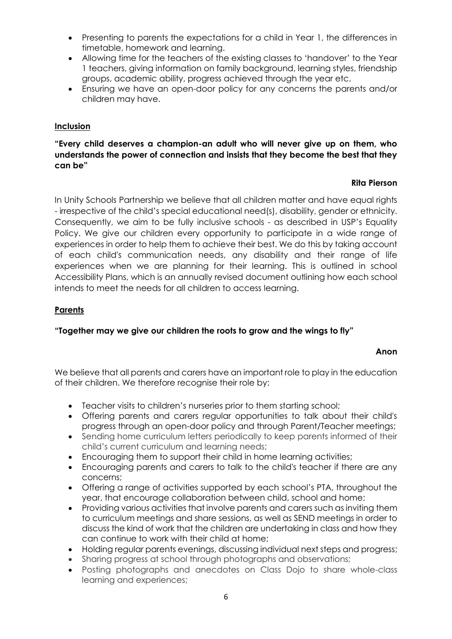- Presenting to parents the expectations for a child in Year 1, the differences in timetable, homework and learning.
- Allowing time for the teachers of the existing classes to 'handover' to the Year 1 teachers, giving information on family background, learning styles, friendship groups, academic ability, progress achieved through the year etc.
- Ensuring we have an open-door policy for any concerns the parents and/or children may have.

## **Inclusion**

## **"Every child deserves a champion-an adult who will never give up on them, who understands the power of connection and insists that they become the best that they can be"**

#### **Rita Pierson**

In Unity Schools Partnership we believe that all children matter and have equal rights - irrespective of the child's special educational need(s), disability, gender or ethnicity. Consequently, we aim to be fully inclusive schools - as described in USP's Equality Policy. We give our children every opportunity to participate in a wide range of experiences in order to help them to achieve their best. We do this by taking account of each child's communication needs, any disability and their range of life experiences when we are planning for their learning. This is outlined in school Accessibility Plans, which is an annually revised document outlining how each school intends to meet the needs for all children to access learning.

#### **Parents**

#### **"Together may we give our children the roots to grow and the wings to fly"**

#### **Anon**

We believe that all parents and carers have an important role to play in the education of their children. We therefore recognise their role by:

- Teacher visits to children's nurseries prior to them starting school;
- Offering parents and carers regular opportunities to talk about their child's progress through an open-door policy and through Parent/Teacher meetings;
- Sending home curriculum letters periodically to keep parents informed of their child's current curriculum and learning needs;
- Encouraging them to support their child in home learning activities;
- Encouraging parents and carers to talk to the child's teacher if there are any concerns;
- Offering a range of activities supported by each school's PTA, throughout the year, that encourage collaboration between child, school and home;
- Providing various activities that involve parents and carers such as inviting them to curriculum meetings and share sessions, as well as SEND meetings in order to discuss the kind of work that the children are undertaking in class and how they can continue to work with their child at home;
- Holding regular parents evenings, discussing individual next steps and progress;
- Sharing progress at school through photographs and observations;
- Posting photographs and anecdotes on Class Dojo to share whole-class learning and experiences;